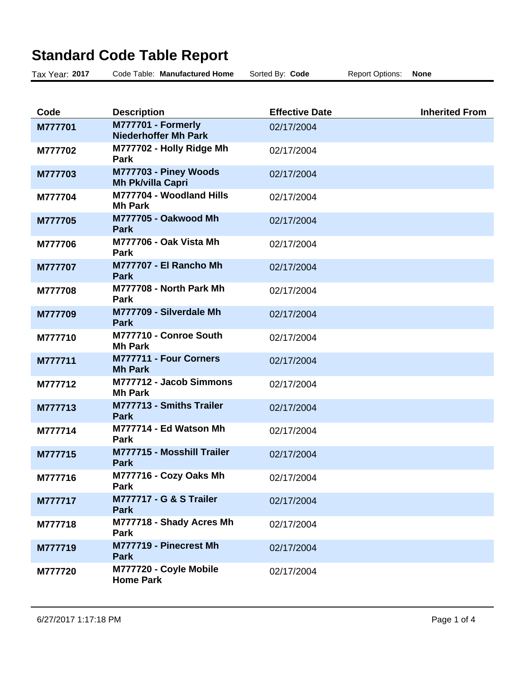## **Standard Code Table Report**

| Tax Year: 2017 | Code Table: Manufactured Home                     | Sorted By: Code       | <b>Report Options:</b> | <b>None</b>           |
|----------------|---------------------------------------------------|-----------------------|------------------------|-----------------------|
|                |                                                   |                       |                        |                       |
| Code           | <b>Description</b>                                | <b>Effective Date</b> |                        | <b>Inherited From</b> |
| M777701        | M777701 - Formerly<br><b>Niederhoffer Mh Park</b> | 02/17/2004            |                        |                       |
| M777702        | M777702 - Holly Ridge Mh<br>Park                  | 02/17/2004            |                        |                       |
| M777703        | M777703 - Piney Woods<br><b>Mh Pk/villa Capri</b> | 02/17/2004            |                        |                       |
| M777704        | M777704 - Woodland Hills<br><b>Mh Park</b>        | 02/17/2004            |                        |                       |
| M777705        | M777705 - Oakwood Mh<br><b>Park</b>               | 02/17/2004            |                        |                       |
| M777706        | <b>M777706 - Oak Vista Mh</b><br><b>Park</b>      | 02/17/2004            |                        |                       |
| M777707        | M777707 - El Rancho Mh<br><b>Park</b>             | 02/17/2004            |                        |                       |
| M777708        | M777708 - North Park Mh<br>Park                   | 02/17/2004            |                        |                       |
| M777709        | M777709 - Silverdale Mh<br><b>Park</b>            | 02/17/2004            |                        |                       |
| M777710        | M777710 - Conroe South<br><b>Mh Park</b>          | 02/17/2004            |                        |                       |
| M777711        | M777711 - Four Corners<br><b>Mh Park</b>          | 02/17/2004            |                        |                       |
| M777712        | M777712 - Jacob Simmons<br><b>Mh Park</b>         | 02/17/2004            |                        |                       |
| M777713        | M777713 - Smiths Trailer<br><b>Park</b>           | 02/17/2004            |                        |                       |
| M777714        | M777714 - Ed Watson Mh<br><b>Park</b>             | 02/17/2004            |                        |                       |
| M777715        | M777715 - Mosshill Trailer<br><b>Park</b>         | 02/17/2004            |                        |                       |
| M777716        | M777716 - Cozy Oaks Mh<br>Park                    | 02/17/2004            |                        |                       |
| M777717        | <b>M777717 - G &amp; S Trailer</b><br>Park        | 02/17/2004            |                        |                       |
| M777718        | M777718 - Shady Acres Mh<br>Park                  | 02/17/2004            |                        |                       |
| M777719        | M777719 - Pinecrest Mh<br><b>Park</b>             | 02/17/2004            |                        |                       |
| M777720        | M777720 - Coyle Mobile<br><b>Home Park</b>        | 02/17/2004            |                        |                       |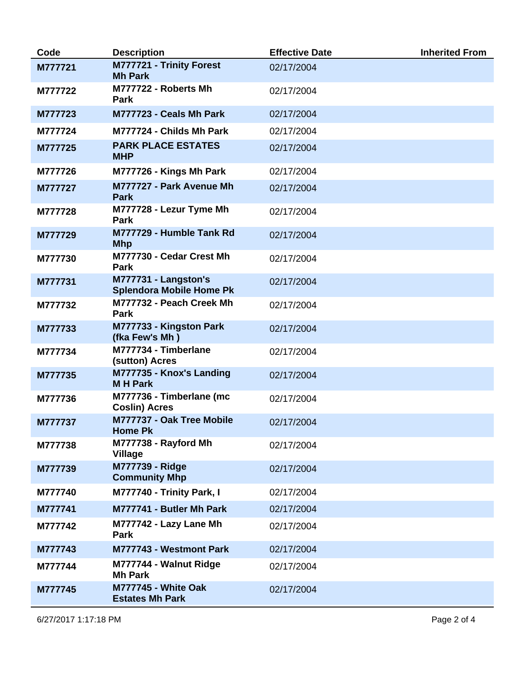| Code    | <b>Description</b>                                      | <b>Effective Date</b> | <b>Inherited From</b> |
|---------|---------------------------------------------------------|-----------------------|-----------------------|
| M777721 | M777721 - Trinity Forest<br><b>Mh Park</b>              | 02/17/2004            |                       |
| M777722 | M777722 - Roberts Mh<br>Park                            | 02/17/2004            |                       |
| M777723 | M777723 - Ceals Mh Park                                 | 02/17/2004            |                       |
| M777724 | M777724 - Childs Mh Park                                | 02/17/2004            |                       |
| M777725 | <b>PARK PLACE ESTATES</b><br><b>MHP</b>                 | 02/17/2004            |                       |
| M777726 | M777726 - Kings Mh Park                                 | 02/17/2004            |                       |
| M777727 | M777727 - Park Avenue Mh<br><b>Park</b>                 | 02/17/2004            |                       |
| M777728 | M777728 - Lezur Tyme Mh<br><b>Park</b>                  | 02/17/2004            |                       |
| M777729 | M777729 - Humble Tank Rd<br><b>Mhp</b>                  | 02/17/2004            |                       |
| M777730 | M777730 - Cedar Crest Mh<br>Park                        | 02/17/2004            |                       |
| M777731 | M777731 - Langston's<br><b>Splendora Mobile Home Pk</b> | 02/17/2004            |                       |
| M777732 | M777732 - Peach Creek Mh<br><b>Park</b>                 | 02/17/2004            |                       |
| M777733 | M777733 - Kingston Park<br>(fka Few's Mh)               | 02/17/2004            |                       |
| M777734 | M777734 - Timberlane<br>(sutton) Acres                  | 02/17/2004            |                       |
| M777735 | M777735 - Knox's Landing<br><b>MH Park</b>              | 02/17/2004            |                       |
| M777736 | M777736 - Timberlane (mc<br><b>Coslin) Acres</b>        | 02/17/2004            |                       |
| M777737 | M777737 - Oak Tree Mobile<br><b>Home PK</b>             | 02/17/2004            |                       |
| M777738 | M777738 - Rayford Mh<br><b>Village</b>                  | 02/17/2004            |                       |
| M777739 | <b>M777739 - Ridge</b><br><b>Community Mhp</b>          | 02/17/2004            |                       |
| M777740 | M777740 - Trinity Park, I                               | 02/17/2004            |                       |
| M777741 | M777741 - Butler Mh Park                                | 02/17/2004            |                       |
| M777742 | M777742 - Lazy Lane Mh<br>Park                          | 02/17/2004            |                       |
| M777743 | M777743 - Westmont Park                                 | 02/17/2004            |                       |
| M777744 | M777744 - Walnut Ridge<br><b>Mh Park</b>                | 02/17/2004            |                       |
| M777745 | <b>M777745 - White Oak</b><br><b>Estates Mh Park</b>    | 02/17/2004            |                       |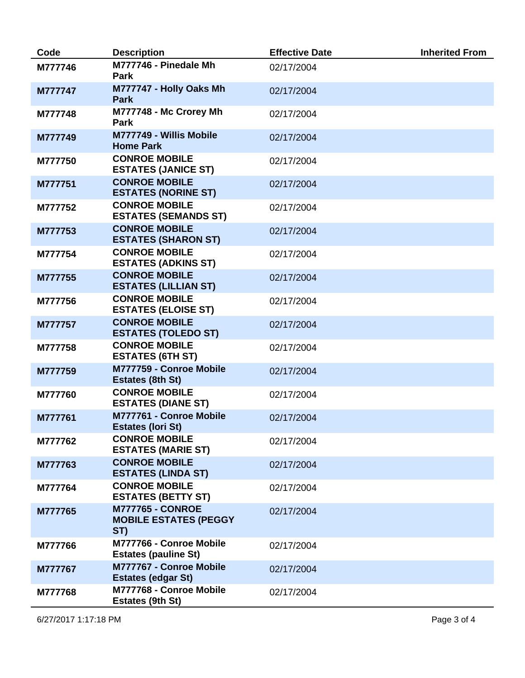| Code    | <b>Description</b>                                             | <b>Effective Date</b> | <b>Inherited From</b> |
|---------|----------------------------------------------------------------|-----------------------|-----------------------|
| M777746 | M777746 - Pinedale Mh<br><b>Park</b>                           | 02/17/2004            |                       |
| M777747 | M777747 - Holly Oaks Mh<br><b>Park</b>                         | 02/17/2004            |                       |
| M777748 | M777748 - Mc Crorey Mh<br>Park                                 | 02/17/2004            |                       |
| M777749 | M777749 - Willis Mobile<br><b>Home Park</b>                    | 02/17/2004            |                       |
| M777750 | <b>CONROE MOBILE</b><br><b>ESTATES (JANICE ST)</b>             | 02/17/2004            |                       |
| M777751 | <b>CONROE MOBILE</b><br><b>ESTATES (NORINE ST)</b>             | 02/17/2004            |                       |
| M777752 | <b>CONROE MOBILE</b><br><b>ESTATES (SEMANDS ST)</b>            | 02/17/2004            |                       |
| M777753 | <b>CONROE MOBILE</b><br><b>ESTATES (SHARON ST)</b>             | 02/17/2004            |                       |
| M777754 | <b>CONROE MOBILE</b><br><b>ESTATES (ADKINS ST)</b>             | 02/17/2004            |                       |
| M777755 | <b>CONROE MOBILE</b><br><b>ESTATES (LILLIAN ST)</b>            | 02/17/2004            |                       |
| M777756 | <b>CONROE MOBILE</b><br><b>ESTATES (ELOISE ST)</b>             | 02/17/2004            |                       |
| M777757 | <b>CONROE MOBILE</b><br><b>ESTATES (TOLEDO ST)</b>             | 02/17/2004            |                       |
| M777758 | <b>CONROE MOBILE</b><br><b>ESTATES (6TH ST)</b>                | 02/17/2004            |                       |
| M777759 | M777759 - Conroe Mobile<br><b>Estates (8th St)</b>             | 02/17/2004            |                       |
| M777760 | <b>CONROE MOBILE</b><br><b>ESTATES (DIANE ST)</b>              | 02/17/2004            |                       |
| M777761 | M777761 - Conroe Mobile<br><b>Estates (lori St)</b>            | 02/17/2004            |                       |
| M777762 | <b>CONROE MOBILE</b><br><b>ESTATES (MARIE ST)</b>              | 02/17/2004            |                       |
| M777763 | <b>CONROE MOBILE</b><br><b>ESTATES (LINDA ST)</b>              | 02/17/2004            |                       |
| M777764 | <b>CONROE MOBILE</b><br><b>ESTATES (BETTY ST)</b>              | 02/17/2004            |                       |
| M777765 | <b>M777765 - CONROE</b><br><b>MOBILE ESTATES (PEGGY</b><br>ST) | 02/17/2004            |                       |
| M777766 | M777766 - Conroe Mobile<br><b>Estates (pauline St)</b>         | 02/17/2004            |                       |
| M777767 | M777767 - Conroe Mobile<br><b>Estates (edgar St)</b>           | 02/17/2004            |                       |
| M777768 | M777768 - Conroe Mobile<br>Estates (9th St)                    | 02/17/2004            |                       |

6/27/2017 1:17:18 PM Page 3 of 4